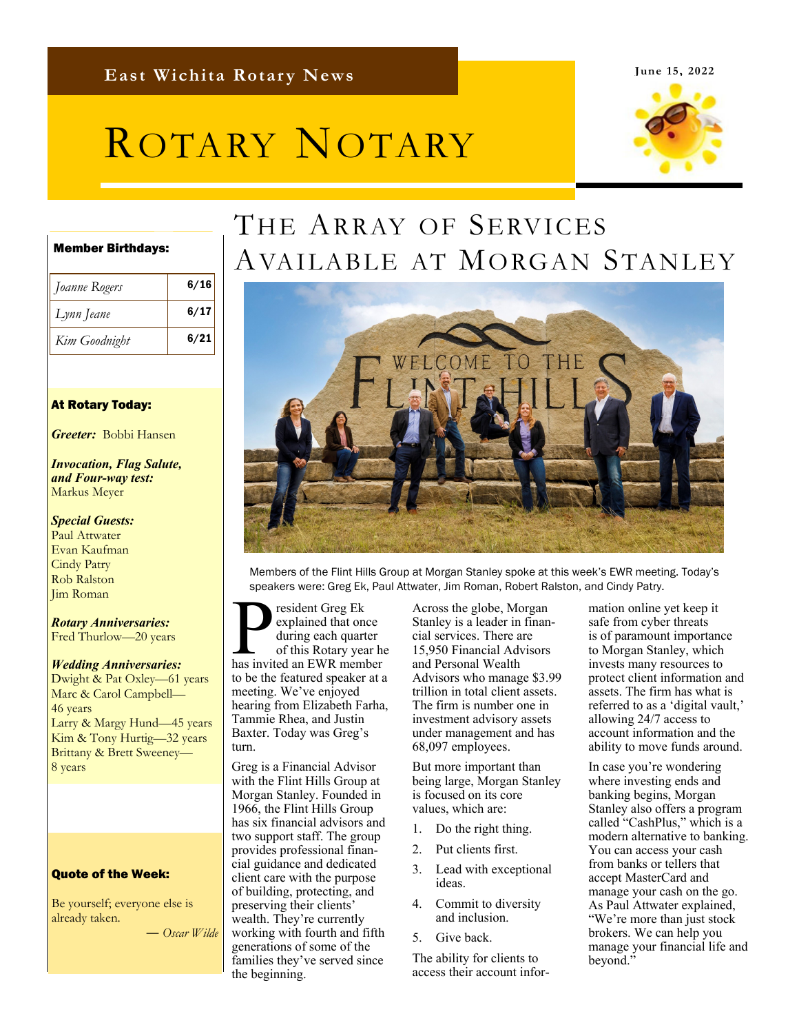#### **June 15, 2022**

# ROTARY NOTARY



#### Member Birthdays:

| Joanne Rogers | 6/16 |
|---------------|------|
| Lynn Jeane    | 6/17 |
| Kim Goodnight | 6/21 |

#### At Rotary Today:

*Greeter:* Bobbi Hansen

#### *Invocation, Flag Salute, and Four-way test:*  Markus Meyer

*Special Guests:*  Paul Attwater Evan Kaufman Cindy Patry Rob Ralston Jim Roman

*Rotary Anniversaries:*  Fred Thurlow—20 years

#### *Wedding Anniversaries:*

Dwight & Pat Oxley—61 years Marc & Carol Campbell— 46 years Larry & Margy Hund—45 years Kim & Tony Hurtig—32 years Brittany & Brett Sweeney— 8 years

#### Quote of the Week:

Be yourself; everyone else is already taken.

― *Oscar Wilde*

## THE ARRAY OF SERVICES AVAILABLE AT MORGAN STANLEY



Members of the Flint Hills Group at Morgan Stanley spoke at this week's EWR meeting. Today's speakers were: Greg Ek, Paul Attwater, Jim Roman, Robert Ralston, and Cindy Patry.

P resident Greg Ek<br>
explained that once<br>
during each quarter<br>
has invited an EWR member explained that once during each quarter of this Rotary year he to be the featured speaker at a meeting. We've enjoyed hearing from Elizabeth Farha, Tammie Rhea, and Justin Baxter. Today was Greg's turn.

Greg is a Financial Advisor with the Flint Hills Group at Morgan Stanley. Founded in 1966, the Flint Hills Group has six financial advisors and two support staff. The group provides professional financial guidance and dedicated client care with the purpose of building, protecting, and preserving their clients' wealth. They're currently working with fourth and fifth generations of some of the families they've served since the beginning.

Across the globe, Morgan Stanley is a leader in financial services. There are 15,950 Financial Advisors and Personal Wealth Advisors who manage \$3.99 trillion in total client assets. The firm is number one in investment advisory assets under management and has 68,097 employees.

But more important than being large, Morgan Stanley is focused on its core values, which are:

- 1. Do the right thing.
- 2. Put clients first.
- 3. Lead with exceptional ideas.
- 4. Commit to diversity and inclusion.
- 5. Give back.

The ability for clients to access their account information online yet keep it safe from cyber threats is of paramount importance to Morgan Stanley, which invests many resources to protect client information and assets. The firm has what is referred to as a 'digital vault,' allowing 24/7 access to account information and the ability to move funds around.

In case you're wondering where investing ends and banking begins, Morgan Stanley also offers a program called "CashPlus," which is a modern alternative to banking. You can access your cash from banks or tellers that accept MasterCard and manage your cash on the go. As Paul Attwater explained, "We're more than just stock brokers. We can help you manage your financial life and beyond."